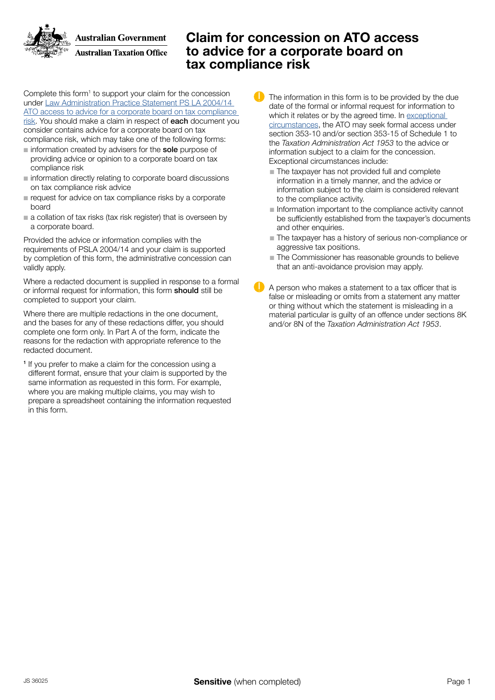**Australian Government Australian Taxation Office** 

### Claim for concession on ATO access to advice for a corporate board on tax compliance risk

Complete this form<sup>1</sup> to support your claim for the concession under Law Administration Practice Statement PS LA 2004/14 [ATO access to advice for a corporate board on tax compliance](http://law.ato.gov.au/atolaw/view.htm?docid=PSR/PS200414/NAT/ATO/00001&PiT=99991231235958)  [risk](http://law.ato.gov.au/atolaw/view.htm?docid=PSR/PS200414/NAT/ATO/00001&PiT=99991231235958). You should make a claim in respect of each document you consider contains advice for a corporate board on tax compliance risk, which may take one of the following forms:

- $\blacksquare$  information created by advisers for the sole purpose of providing advice or opinion to a corporate board on tax compliance risk
- niformation directly relating to corporate board discussions on tax compliance risk advice
- $\blacksquare$  request for advice on tax compliance risks by a corporate board
- $\blacksquare$  a collation of tax risks (tax risk register) that is overseen by a corporate board.

Provided the advice or information complies with the requirements of PSLA 2004/14 and your claim is supported by completion of this form, the administrative concession can validly apply.

Where a redacted document is supplied in response to a formal or informal request for information, this form should still be completed to support your claim.

Where there are multiple redactions in the one document, and the bases for any of these redactions differ, you should complete one form only. In Part A of the form, indicate the reasons for the redaction with appropriate reference to the redacted document.

<sup>1</sup> If you prefer to make a claim for the concession using a different format, ensure that your claim is supported by the same information as requested in this form. For example, where you are making multiple claims, you may wish to prepare a spreadsheet containing the information requested in this form.

- The information in this form is to be provided by the due date of the formal or informal request for information to which it relates or by the agreed time. In [exceptional](http://law.ato.gov.au/atolaw/view.htm?docid=PSR/PS200414/NAT/ATO/00001&PiT=99991231235958)  [circumstances,](http://law.ato.gov.au/atolaw/view.htm?docid=PSR/PS200414/NAT/ATO/00001&PiT=99991231235958) the ATO may seek formal access under section 353-10 and/or section 353-15 of Schedule 1 to the *Taxation Administration Act 1953* to the advice or information subject to a claim for the concession. Exceptional circumstances include:
	- $\blacksquare$  The taxpayer has not provided full and complete information in a timely manner, and the advice or information subject to the claim is considered relevant to the compliance activity.
	- n Information important to the compliance activity cannot be sufficiently established from the taxpayer's documents and other enquiries.
	- The taxpayer has a history of serious non-compliance or aggressive tax positions.
	- $\blacksquare$  The Commissioner has reasonable grounds to believe that an anti-avoidance provision may apply.
- A person who makes a statement to a tax officer that is false or misleading or omits from a statement any matter or thing without which the statement is misleading in a material particular is guilty of an offence under sections 8K and/or 8N of the *Taxation Administration Act 1953*.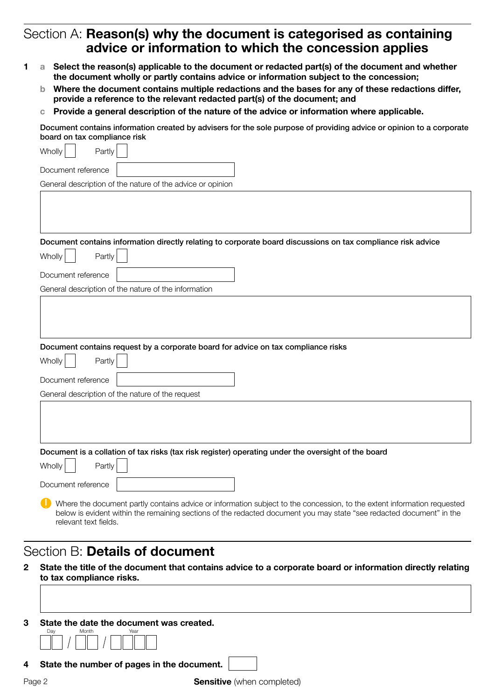## Section A: Reason(s) why the document is categorised as containing advice or information to which the concession applies

- 1 a Select the reason(s) applicable to the document or redacted part(s) of the document and whether the document wholly or partly contains advice or information subject to the concession;
	- b Where the document contains multiple redactions and the bases for any of these redactions differ, provide a reference to the relevant redacted part(s) of the document; and
	- c Provide a general description of the nature of the advice or information where applicable.

Document contains information created by advisers for the sole purpose of providing advice or opinion to a corporate board on tax compliance risk

| Wholly<br>Partly                                                                                                                                                                                                                                |
|-------------------------------------------------------------------------------------------------------------------------------------------------------------------------------------------------------------------------------------------------|
| Document reference                                                                                                                                                                                                                              |
| General description of the nature of the advice or opinion                                                                                                                                                                                      |
|                                                                                                                                                                                                                                                 |
| Document contains information directly relating to corporate board discussions on tax compliance risk advice                                                                                                                                    |
| Partly<br>Wholly                                                                                                                                                                                                                                |
| Document reference                                                                                                                                                                                                                              |
| General description of the nature of the information                                                                                                                                                                                            |
| Document contains request by a corporate board for advice on tax compliance risks                                                                                                                                                               |
| Wholly<br>Partly                                                                                                                                                                                                                                |
| Document reference                                                                                                                                                                                                                              |
| General description of the nature of the request                                                                                                                                                                                                |
|                                                                                                                                                                                                                                                 |
| Document is a collation of tax risks (tax risk register) operating under the oversight of the board                                                                                                                                             |
| Wholly<br>Partly                                                                                                                                                                                                                                |
| Document reference                                                                                                                                                                                                                              |
| Where the document partly contains advice or information subject to the concession, to the extent information requested<br>below is evident within the remaining sections of the redacted document you may state "see redacted document" in the |

### Section B: Details of document

relevant text fields.

- 2 State the title of the document that contains advice to a corporate board or information directly relating to tax compliance risks.
- 3 State the date the document was created. Day Month Year

4 State the number of pages in the document.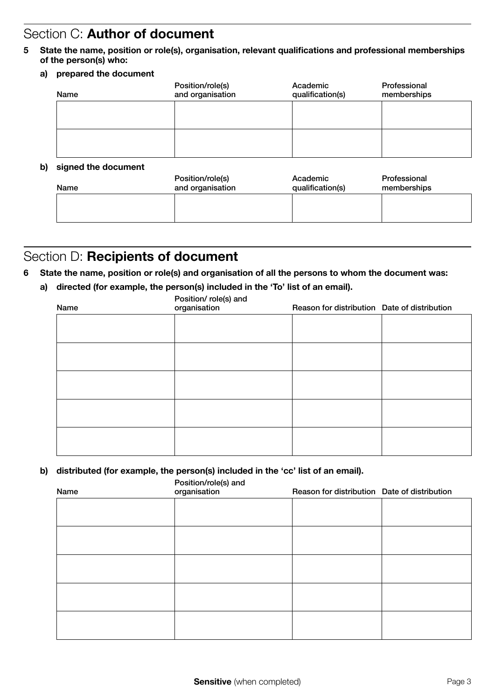## Section C: Author of document

- 5 State the name, position or role(s), organisation, relevant qualifications and professional memberships of the person(s) who:
	- a) prepared the document

| Name | Position/role(s)<br>and organisation | Academic<br>qualification(s) | Professional<br>memberships |
|------|--------------------------------------|------------------------------|-----------------------------|
|      |                                      |                              |                             |
|      |                                      |                              |                             |
|      |                                      |                              |                             |

#### b) signed the document

| Name | Position/role(s)<br>and organisation | Academic<br>qualification(s) | Professional<br>memberships |
|------|--------------------------------------|------------------------------|-----------------------------|
|      |                                      |                              |                             |
|      |                                      |                              |                             |

# Section D: Recipients of document

### 6 State the name, position or role(s) and organisation of all the persons to whom the document was:

a) directed (for example, the person(s) included in the 'To' list of an email).

| Name | Position/role(s) and<br>organisation | Reason for distribution Date of distribution |  |
|------|--------------------------------------|----------------------------------------------|--|
|      |                                      |                                              |  |
|      |                                      |                                              |  |
|      |                                      |                                              |  |
|      |                                      |                                              |  |
|      |                                      |                                              |  |
|      |                                      |                                              |  |

#### b) distributed (for example, the person(s) included in the 'cc' list of an email).

Position/role(s) and

| Name | $\sim$<br>organisation | Reason for distribution Date of distribution |  |
|------|------------------------|----------------------------------------------|--|
|      |                        |                                              |  |
|      |                        |                                              |  |
|      |                        |                                              |  |
|      |                        |                                              |  |
|      |                        |                                              |  |
|      |                        |                                              |  |
|      |                        |                                              |  |
|      |                        |                                              |  |
|      |                        |                                              |  |
|      |                        |                                              |  |